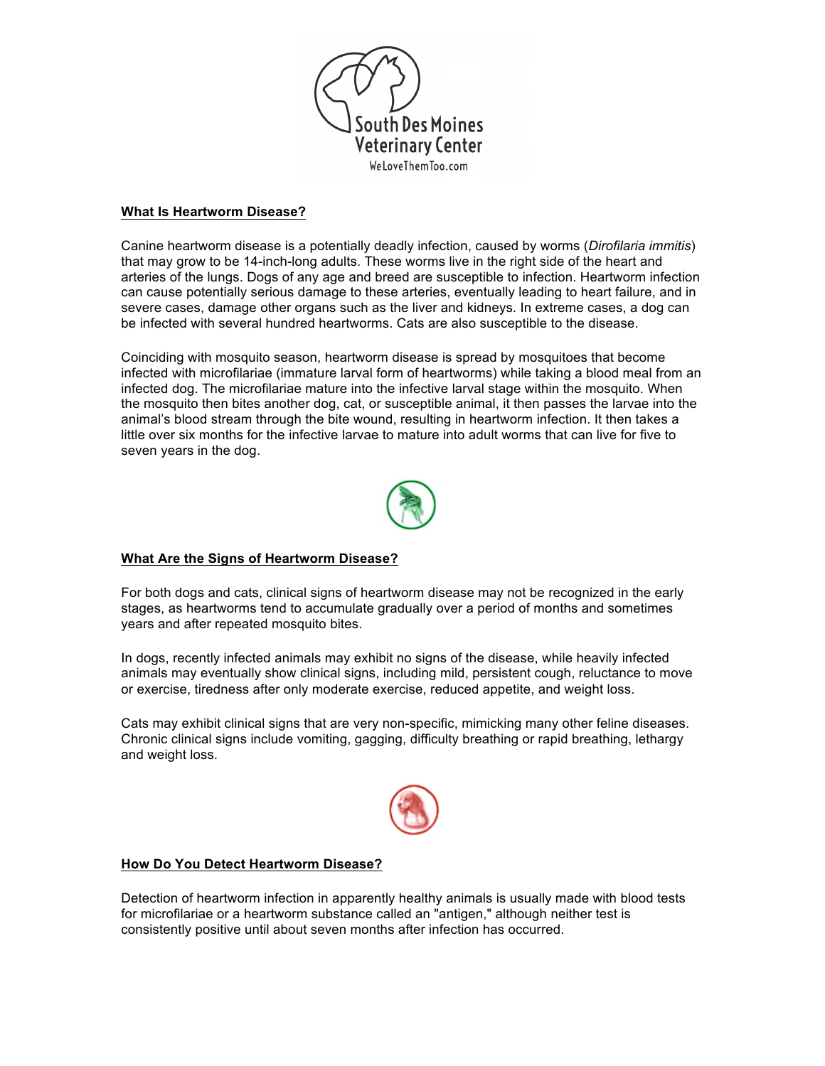

### **What Is Heartworm Disease?**

Canine heartworm disease is a potentially deadly infection, caused by worms (*Dirofilaria immitis*) that may grow to be 14-inch-long adults. These worms live in the right side of the heart and arteries of the lungs. Dogs of any age and breed are susceptible to infection. Heartworm infection can cause potentially serious damage to these arteries, eventually leading to heart failure, and in severe cases, damage other organs such as the liver and kidneys. In extreme cases, a dog can be infected with several hundred heartworms. Cats are also susceptible to the disease.

Coinciding with mosquito season, heartworm disease is spread by mosquitoes that become infected with microfilariae (immature larval form of heartworms) while taking a blood meal from an infected dog. The microfilariae mature into the infective larval stage within the mosquito. When the mosquito then bites another dog, cat, or susceptible animal, it then passes the larvae into the animal's blood stream through the bite wound, resulting in heartworm infection. It then takes a little over six months for the infective larvae to mature into adult worms that can live for five to seven years in the dog.



# **What Are the Signs of Heartworm Disease?**

For both dogs and cats, clinical signs of heartworm disease may not be recognized in the early stages, as heartworms tend to accumulate gradually over a period of months and sometimes years and after repeated mosquito bites.

In dogs, recently infected animals may exhibit no signs of the disease, while heavily infected animals may eventually show clinical signs, including mild, persistent cough, reluctance to move or exercise, tiredness after only moderate exercise, reduced appetite, and weight loss.

Cats may exhibit clinical signs that are very non-specific, mimicking many other feline diseases. Chronic clinical signs include vomiting, gagging, difficulty breathing or rapid breathing, lethargy and weight loss.



## **How Do You Detect Heartworm Disease?**

Detection of heartworm infection in apparently healthy animals is usually made with blood tests for microfilariae or a heartworm substance called an "antigen," although neither test is consistently positive until about seven months after infection has occurred.